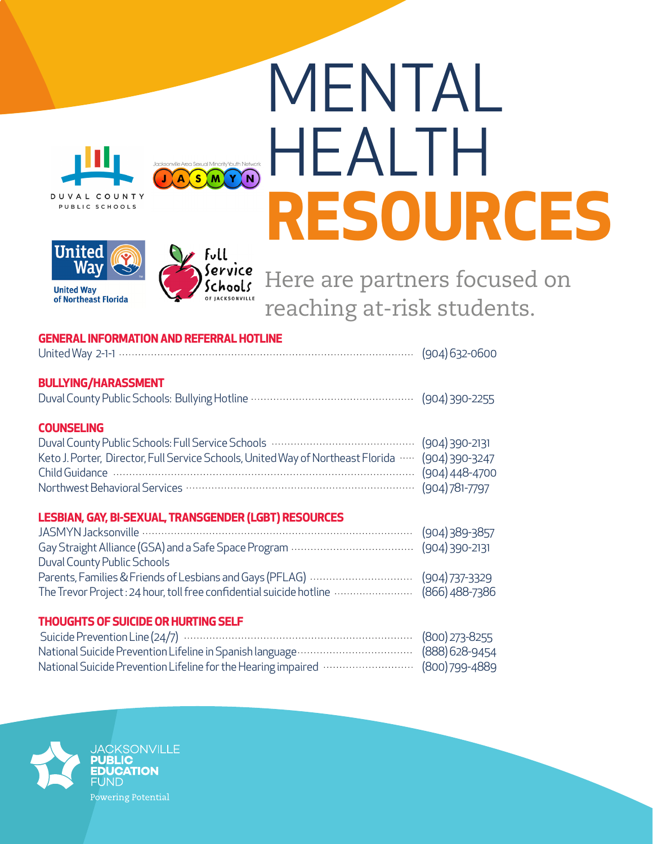# MENTAL HEALTH **RESOURCES**





of Northeast Florida



ASM

YYN

Here are partners focused on reaching at-risk students.

## **GENERAL INFORMATION AND REFERRAL HOTLINE**

United Way 2-1-1(904) 632-0600

### **BULLYING/HARASSMENT**

#### **COUNSELING**

| Keto J. Porter, Director, Full Service Schools, United Way of Northeast Florida … (904) 390-3247 |  |
|--------------------------------------------------------------------------------------------------|--|
|                                                                                                  |  |
|                                                                                                  |  |

#### **LESBIAN, GAY, BI-SEXUAL, TRANSGENDER (LGBT) RESOURCES**

| Duval County Public Schools                                                         |  |
|-------------------------------------------------------------------------------------|--|
|                                                                                     |  |
| The Trevor Project: 24 hour, toll free confidential suicide hotline  (866) 488-7386 |  |

#### **THOUGHTS OF SUICIDE OR HURTING SELF**